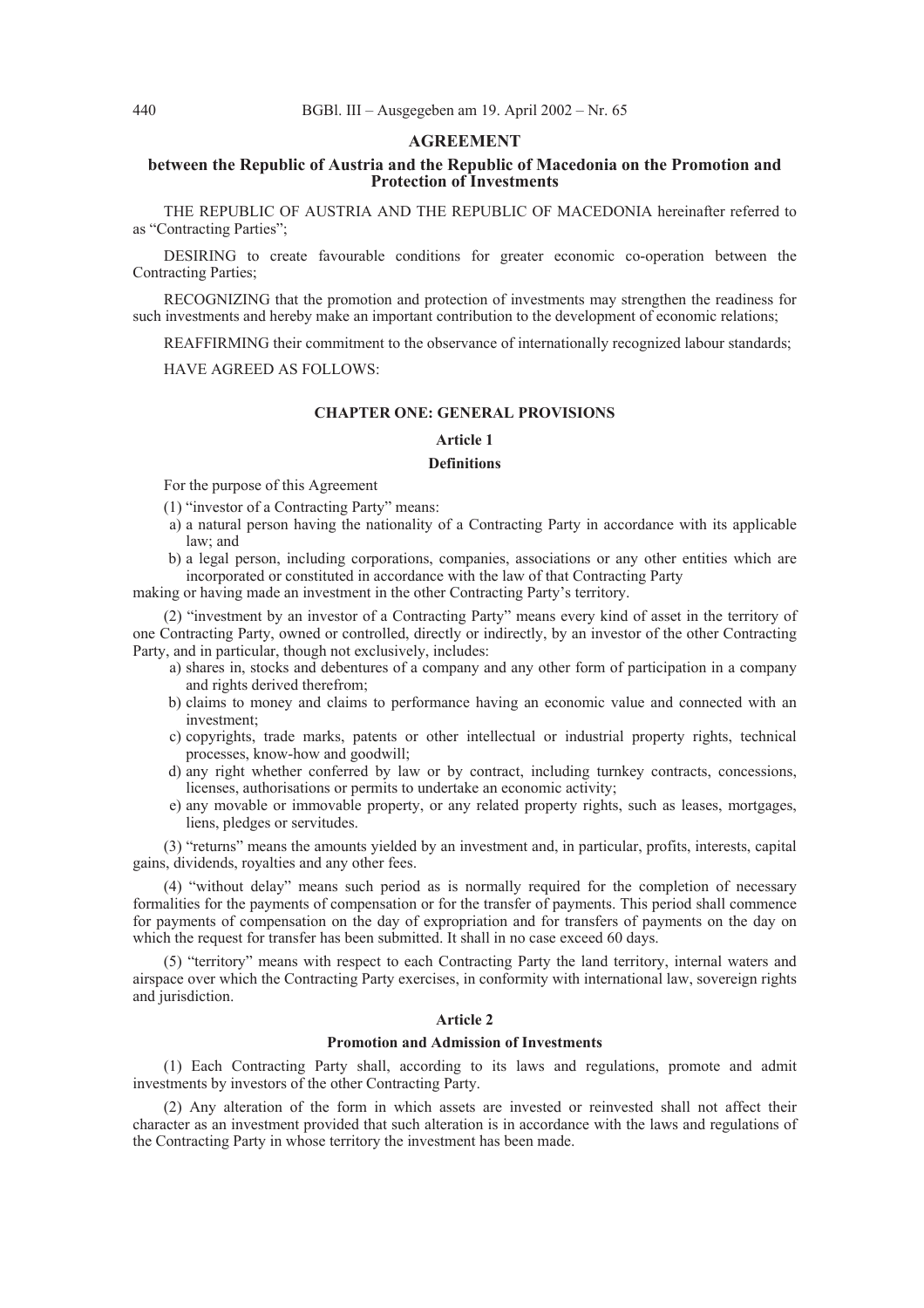#### **AGREEMENT**

# **between the Republic of Austria and the Republic of Macedonia on the Promotion and Protection of Investments**

THE REPUBLIC OF AUSTRIA AND THE REPUBLIC OF MACEDONIA hereinafter referred to as "Contracting Parties";

DESIRING to create favourable conditions for greater economic co-operation between the Contracting Parties;

RECOGNIZING that the promotion and protection of investments may strengthen the readiness for such investments and hereby make an important contribution to the development of economic relations;

REAFFIRMING their commitment to the observance of internationally recognized labour standards;

HAVE AGREED AS FOLLOWS:

#### **CHAPTER ONE: GENERAL PROVISIONS**

#### **Article 1**

#### **Definitions**

For the purpose of this Agreement

- (1) "investor of a Contracting Party" means:
- a) a natural person having the nationality of a Contracting Party in accordance with its applicable law; and
- b) a legal person, including corporations, companies, associations or any other entities which are incorporated or constituted in accordance with the law of that Contracting Party
- making or having made an investment in the other Contracting Party's territory.

(2) "investment by an investor of a Contracting Party" means every kind of asset in the territory of one Contracting Party, owned or controlled, directly or indirectly, by an investor of the other Contracting Party, and in particular, though not exclusively, includes:

- a) shares in, stocks and debentures of a company and any other form of participation in a company and rights derived therefrom;
- b) claims to money and claims to performance having an economic value and connected with an investment;
- c) copyrights, trade marks, patents or other intellectual or industrial property rights, technical processes, know-how and goodwill;
- d) any right whether conferred by law or by contract, including turnkey contracts, concessions, licenses, authorisations or permits to undertake an economic activity;
- e) any movable or immovable property, or any related property rights, such as leases, mortgages, liens, pledges or servitudes.

(3) "returns" means the amounts yielded by an investment and, in particular, profits, interests, capital gains, dividends, royalties and any other fees.

(4) "without delay" means such period as is normally required for the completion of necessary formalities for the payments of compensation or for the transfer of payments. This period shall commence for payments of compensation on the day of expropriation and for transfers of payments on the day on which the request for transfer has been submitted. It shall in no case exceed 60 days.

(5) "territory" means with respect to each Contracting Party the land territory, internal waters and airspace over which the Contracting Party exercises, in conformity with international law, sovereign rights and jurisdiction.

### **Article 2**

#### **Promotion and Admission of Investments**

(1) Each Contracting Party shall, according to its laws and regulations, promote and admit investments by investors of the other Contracting Party.

(2) Any alteration of the form in which assets are invested or reinvested shall not affect their character as an investment provided that such alteration is in accordance with the laws and regulations of the Contracting Party in whose territory the investment has been made.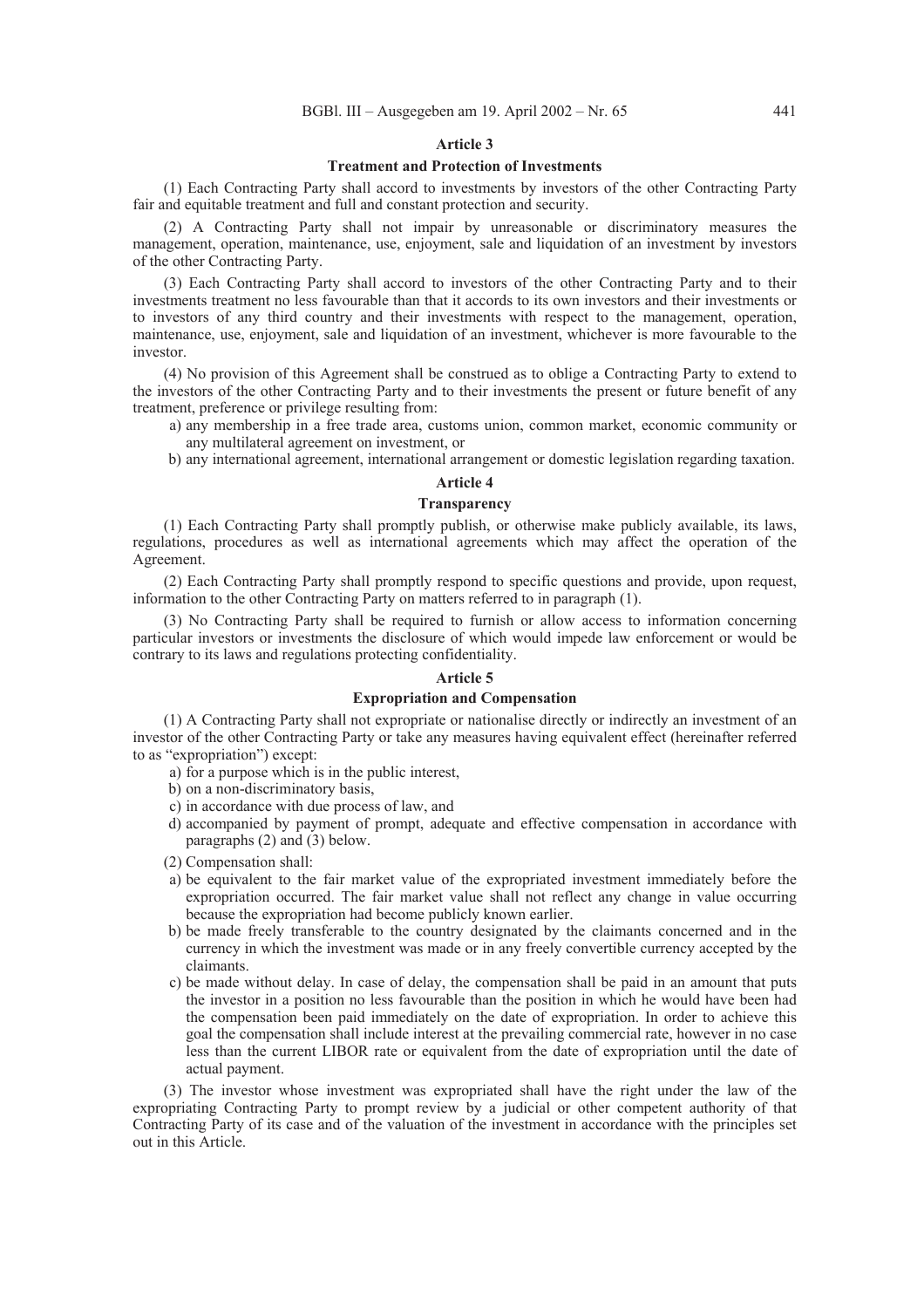# **Treatment and Protection of Investments**

(1) Each Contracting Party shall accord to investments by investors of the other Contracting Party fair and equitable treatment and full and constant protection and security.

(2) A Contracting Party shall not impair by unreasonable or discriminatory measures the management, operation, maintenance, use, enjoyment, sale and liquidation of an investment by investors of the other Contracting Party.

(3) Each Contracting Party shall accord to investors of the other Contracting Party and to their investments treatment no less favourable than that it accords to its own investors and their investments or to investors of any third country and their investments with respect to the management, operation, maintenance, use, enjoyment, sale and liquidation of an investment, whichever is more favourable to the investor.

(4) No provision of this Agreement shall be construed as to oblige a Contracting Party to extend to the investors of the other Contracting Party and to their investments the present or future benefit of any treatment, preference or privilege resulting from:

- a) any membership in a free trade area, customs union, common market, economic community or any multilateral agreement on investment, or
- b) any international agreement, international arrangement or domestic legislation regarding taxation.

# **Article 4**

# **Transparency**

(1) Each Contracting Party shall promptly publish, or otherwise make publicly available, its laws, regulations, procedures as well as international agreements which may affect the operation of the Agreement.

(2) Each Contracting Party shall promptly respond to specific questions and provide, upon request, information to the other Contracting Party on matters referred to in paragraph (1).

(3) No Contracting Party shall be required to furnish or allow access to information concerning particular investors or investments the disclosure of which would impede law enforcement or would be contrary to its laws and regulations protecting confidentiality.

#### **Article 5**

# **Expropriation and Compensation**

(1) A Contracting Party shall not expropriate or nationalise directly or indirectly an investment of an investor of the other Contracting Party or take any measures having equivalent effect (hereinafter referred to as "expropriation") except:

a) for a purpose which is in the public interest,

b) on a non-discriminatory basis,

- c) in accordance with due process of law, and
- d) accompanied by payment of prompt, adequate and effective compensation in accordance with paragraphs (2) and (3) below.

(2) Compensation shall:

- a) be equivalent to the fair market value of the expropriated investment immediately before the expropriation occurred. The fair market value shall not reflect any change in value occurring because the expropriation had become publicly known earlier.
- b) be made freely transferable to the country designated by the claimants concerned and in the currency in which the investment was made or in any freely convertible currency accepted by the claimants.
- c) be made without delay. In case of delay, the compensation shall be paid in an amount that puts the investor in a position no less favourable than the position in which he would have been had the compensation been paid immediately on the date of expropriation. In order to achieve this goal the compensation shall include interest at the prevailing commercial rate, however in no case less than the current LIBOR rate or equivalent from the date of expropriation until the date of actual payment.

(3) The investor whose investment was expropriated shall have the right under the law of the expropriating Contracting Party to prompt review by a judicial or other competent authority of that Contracting Party of its case and of the valuation of the investment in accordance with the principles set out in this Article.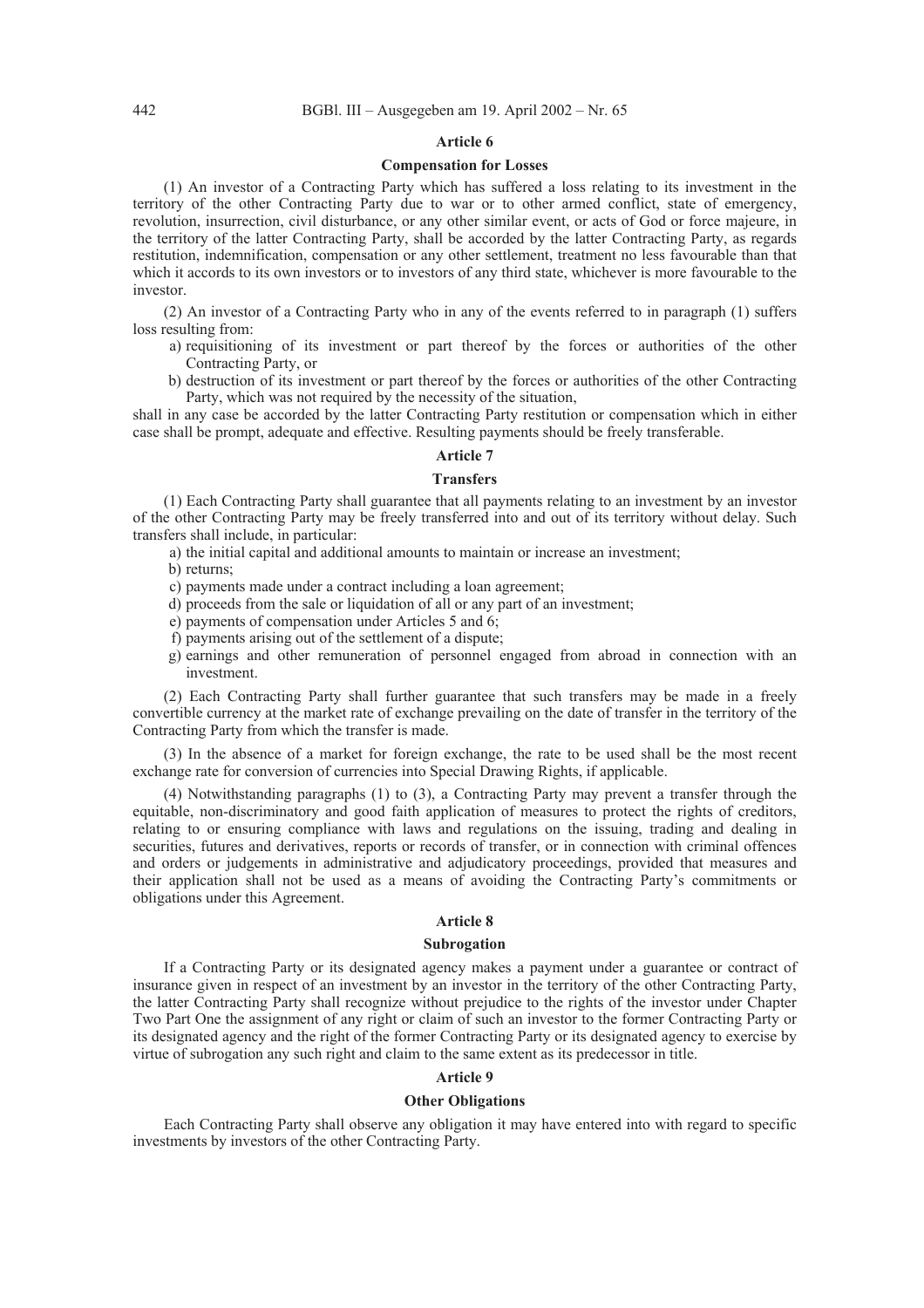# **Compensation for Losses**

(1) An investor of a Contracting Party which has suffered a loss relating to its investment in the territory of the other Contracting Party due to war or to other armed conflict, state of emergency, revolution, insurrection, civil disturbance, or any other similar event, or acts of God or force majeure, in the territory of the latter Contracting Party, shall be accorded by the latter Contracting Party, as regards restitution, indemnification, compensation or any other settlement, treatment no less favourable than that which it accords to its own investors or to investors of any third state, whichever is more favourable to the investor.

(2) An investor of a Contracting Party who in any of the events referred to in paragraph (1) suffers loss resulting from:

- a) requisitioning of its investment or part thereof by the forces or authorities of the other Contracting Party, or
- b) destruction of its investment or part thereof by the forces or authorities of the other Contracting Party, which was not required by the necessity of the situation,

shall in any case be accorded by the latter Contracting Party restitution or compensation which in either case shall be prompt, adequate and effective. Resulting payments should be freely transferable.

# **Article 7**

# **Transfers**

(1) Each Contracting Party shall guarantee that all payments relating to an investment by an investor of the other Contracting Party may be freely transferred into and out of its territory without delay. Such transfers shall include, in particular:

a) the initial capital and additional amounts to maintain or increase an investment;

b) returns;

- c) payments made under a contract including a loan agreement;
- d) proceeds from the sale or liquidation of all or any part of an investment;
- e) payments of compensation under Articles 5 and 6;
- f) payments arising out of the settlement of a dispute;
- g) earnings and other remuneration of personnel engaged from abroad in connection with an investment.

(2) Each Contracting Party shall further guarantee that such transfers may be made in a freely convertible currency at the market rate of exchange prevailing on the date of transfer in the territory of the Contracting Party from which the transfer is made.

(3) In the absence of a market for foreign exchange, the rate to be used shall be the most recent exchange rate for conversion of currencies into Special Drawing Rights, if applicable.

(4) Notwithstanding paragraphs (1) to (3), a Contracting Party may prevent a transfer through the equitable, non-discriminatory and good faith application of measures to protect the rights of creditors, relating to or ensuring compliance with laws and regulations on the issuing, trading and dealing in securities, futures and derivatives, reports or records of transfer, or in connection with criminal offences and orders or judgements in administrative and adjudicatory proceedings, provided that measures and their application shall not be used as a means of avoiding the Contracting Party's commitments or obligations under this Agreement.

# **Article 8**

### **Subrogation**

If a Contracting Party or its designated agency makes a payment under a guarantee or contract of insurance given in respect of an investment by an investor in the territory of the other Contracting Party, the latter Contracting Party shall recognize without prejudice to the rights of the investor under Chapter Two Part One the assignment of any right or claim of such an investor to the former Contracting Party or its designated agency and the right of the former Contracting Party or its designated agency to exercise by virtue of subrogation any such right and claim to the same extent as its predecessor in title.

# **Article 9**

# **Other Obligations**

Each Contracting Party shall observe any obligation it may have entered into with regard to specific investments by investors of the other Contracting Party.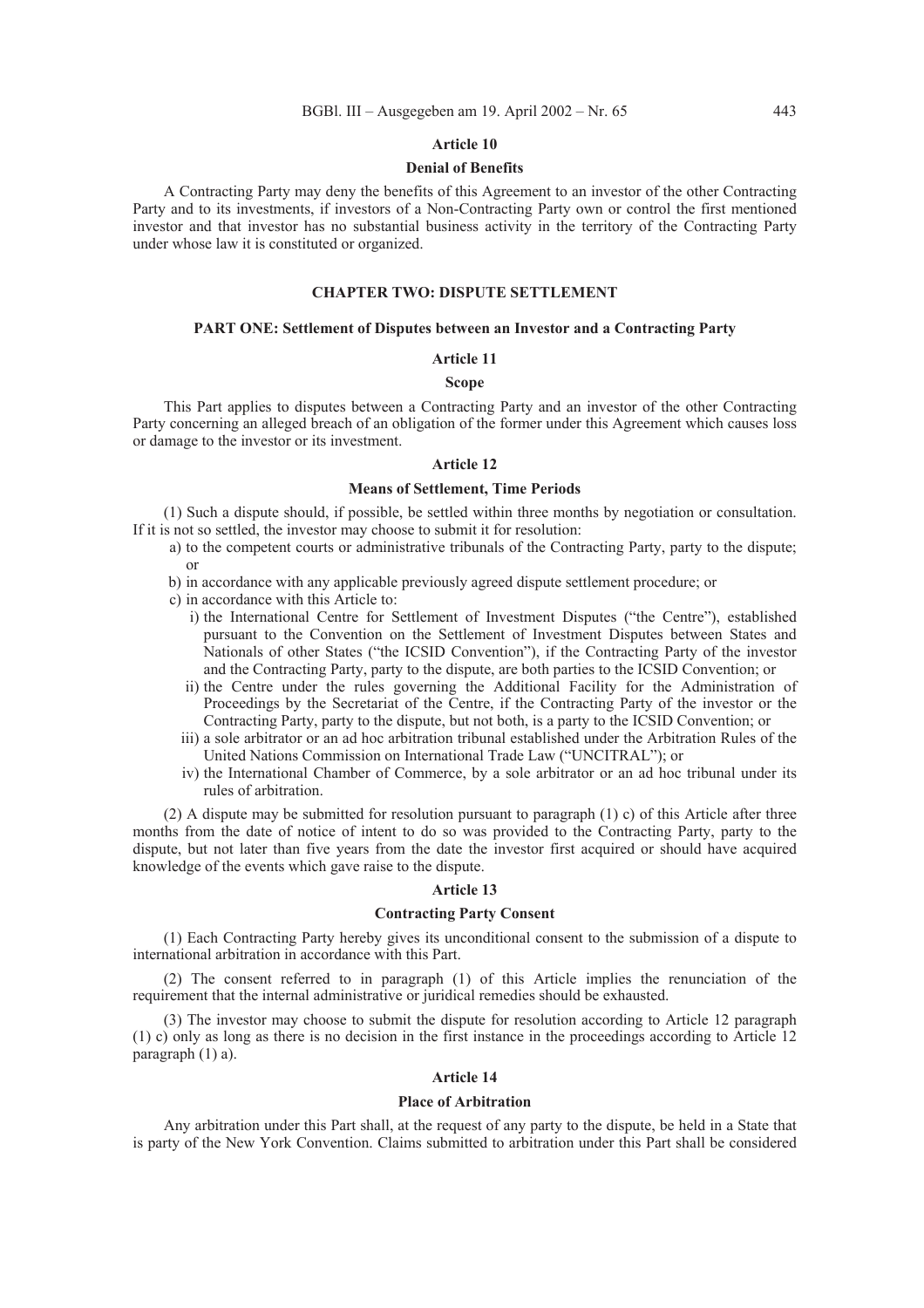#### **Denial of Benefits**

A Contracting Party may deny the benefits of this Agreement to an investor of the other Contracting Party and to its investments, if investors of a Non-Contracting Party own or control the first mentioned investor and that investor has no substantial business activity in the territory of the Contracting Party under whose law it is constituted or organized.

### **CHAPTER TWO: DISPUTE SETTLEMENT**

### **PART ONE: Settlement of Disputes between an Investor and a Contracting Party**

#### **Article 11**

# **Scope**

This Part applies to disputes between a Contracting Party and an investor of the other Contracting Party concerning an alleged breach of an obligation of the former under this Agreement which causes loss or damage to the investor or its investment.

#### **Article 12**

# **Means of Settlement, Time Periods**

(1) Such a dispute should, if possible, be settled within three months by negotiation or consultation. If it is not so settled, the investor may choose to submit it for resolution:

- a) to the competent courts or administrative tribunals of the Contracting Party, party to the dispute; or
- b) in accordance with any applicable previously agreed dispute settlement procedure; or
- c) in accordance with this Article to:
	- i) the International Centre for Settlement of Investment Disputes ("the Centre"), established pursuant to the Convention on the Settlement of Investment Disputes between States and Nationals of other States ("the ICSID Convention"), if the Contracting Party of the investor and the Contracting Party, party to the dispute, are both parties to the ICSID Convention; or
	- ii) the Centre under the rules governing the Additional Facility for the Administration of Proceedings by the Secretariat of the Centre, if the Contracting Party of the investor or the Contracting Party, party to the dispute, but not both, is a party to the ICSID Convention; or
	- iii) a sole arbitrator or an ad hoc arbitration tribunal established under the Arbitration Rules of the United Nations Commission on International Trade Law ("UNCITRAL"); or
	- iv) the International Chamber of Commerce, by a sole arbitrator or an ad hoc tribunal under its rules of arbitration.

(2) A dispute may be submitted for resolution pursuant to paragraph (1) c) of this Article after three months from the date of notice of intent to do so was provided to the Contracting Party, party to the dispute, but not later than five years from the date the investor first acquired or should have acquired knowledge of the events which gave raise to the dispute.

#### **Article 13**

#### **Contracting Party Consent**

(1) Each Contracting Party hereby gives its unconditional consent to the submission of a dispute to international arbitration in accordance with this Part.

(2) The consent referred to in paragraph (1) of this Article implies the renunciation of the requirement that the internal administrative or juridical remedies should be exhausted.

(3) The investor may choose to submit the dispute for resolution according to Article 12 paragraph (1) c) only as long as there is no decision in the first instance in the proceedings according to Article 12 paragraph (1) a).

# **Article 14**

### **Place of Arbitration**

Any arbitration under this Part shall, at the request of any party to the dispute, be held in a State that is party of the New York Convention. Claims submitted to arbitration under this Part shall be considered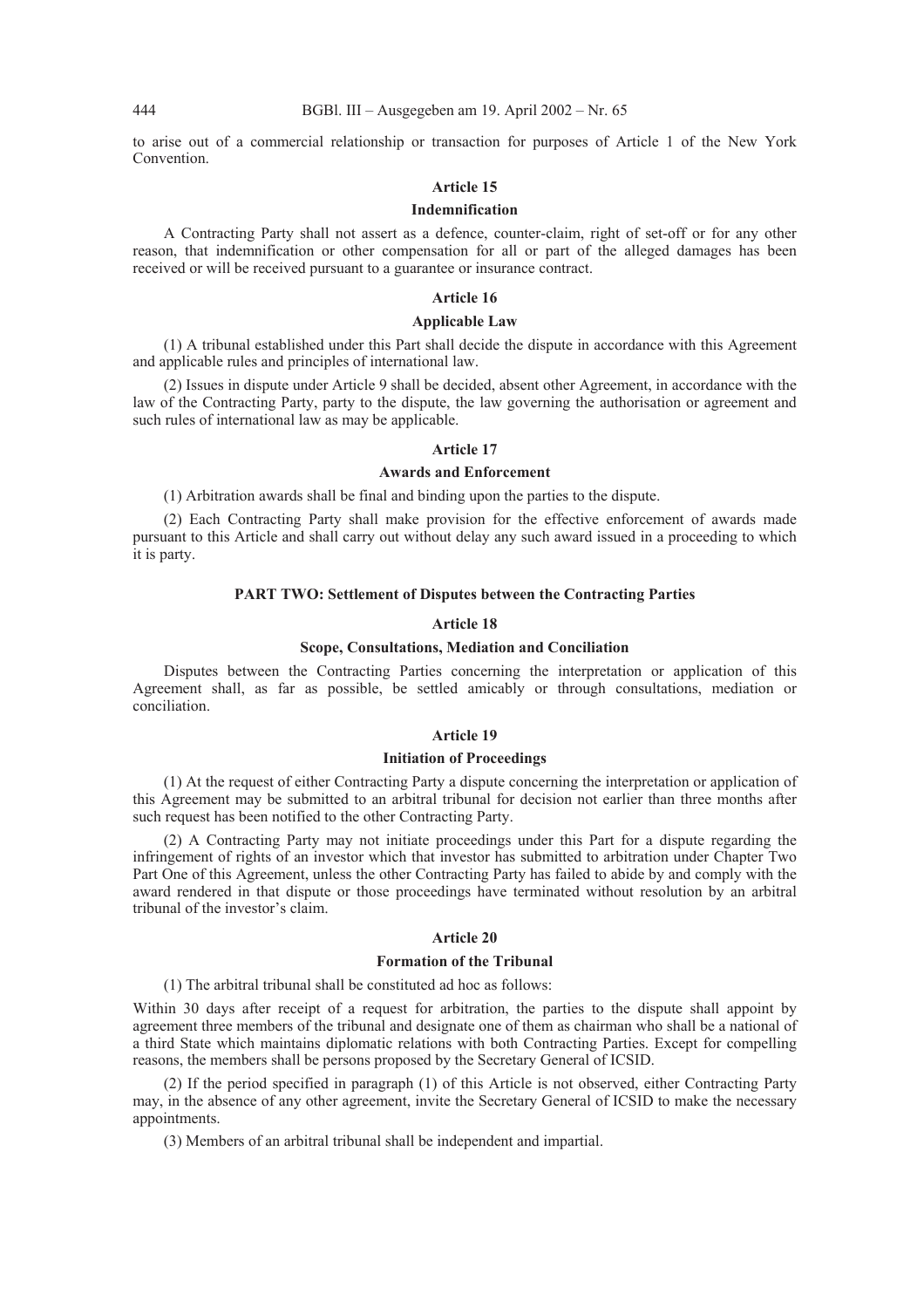to arise out of a commercial relationship or transaction for purposes of Article 1 of the New York Convention.

#### **Article 15**

#### **Indemnification**

A Contracting Party shall not assert as a defence, counter-claim, right of set-off or for any other reason, that indemnification or other compensation for all or part of the alleged damages has been received or will be received pursuant to a guarantee or insurance contract.

### **Article 16**

#### **Applicable Law**

(1) A tribunal established under this Part shall decide the dispute in accordance with this Agreement and applicable rules and principles of international law.

(2) Issues in dispute under Article 9 shall be decided, absent other Agreement, in accordance with the law of the Contracting Party, party to the dispute, the law governing the authorisation or agreement and such rules of international law as may be applicable.

# **Article 17**

# **Awards and Enforcement**

(1) Arbitration awards shall be final and binding upon the parties to the dispute.

(2) Each Contracting Party shall make provision for the effective enforcement of awards made pursuant to this Article and shall carry out without delay any such award issued in a proceeding to which it is party.

# **PART TWO: Settlement of Disputes between the Contracting Parties**

# **Article 18**

# **Scope, Consultations, Mediation and Conciliation**

Disputes between the Contracting Parties concerning the interpretation or application of this Agreement shall, as far as possible, be settled amicably or through consultations, mediation or conciliation.

#### **Article 19**

# **Initiation of Proceedings**

(1) At the request of either Contracting Party a dispute concerning the interpretation or application of this Agreement may be submitted to an arbitral tribunal for decision not earlier than three months after such request has been notified to the other Contracting Party.

(2) A Contracting Party may not initiate proceedings under this Part for a dispute regarding the infringement of rights of an investor which that investor has submitted to arbitration under Chapter Two Part One of this Agreement, unless the other Contracting Party has failed to abide by and comply with the award rendered in that dispute or those proceedings have terminated without resolution by an arbitral tribunal of the investor's claim.

### **Article 20**

# **Formation of the Tribunal**

(1) The arbitral tribunal shall be constituted ad hoc as follows:

Within 30 days after receipt of a request for arbitration, the parties to the dispute shall appoint by agreement three members of the tribunal and designate one of them as chairman who shall be a national of a third State which maintains diplomatic relations with both Contracting Parties. Except for compelling reasons, the members shall be persons proposed by the Secretary General of ICSID.

(2) If the period specified in paragraph (1) of this Article is not observed, either Contracting Party may, in the absence of any other agreement, invite the Secretary General of ICSID to make the necessary appointments.

(3) Members of an arbitral tribunal shall be independent and impartial.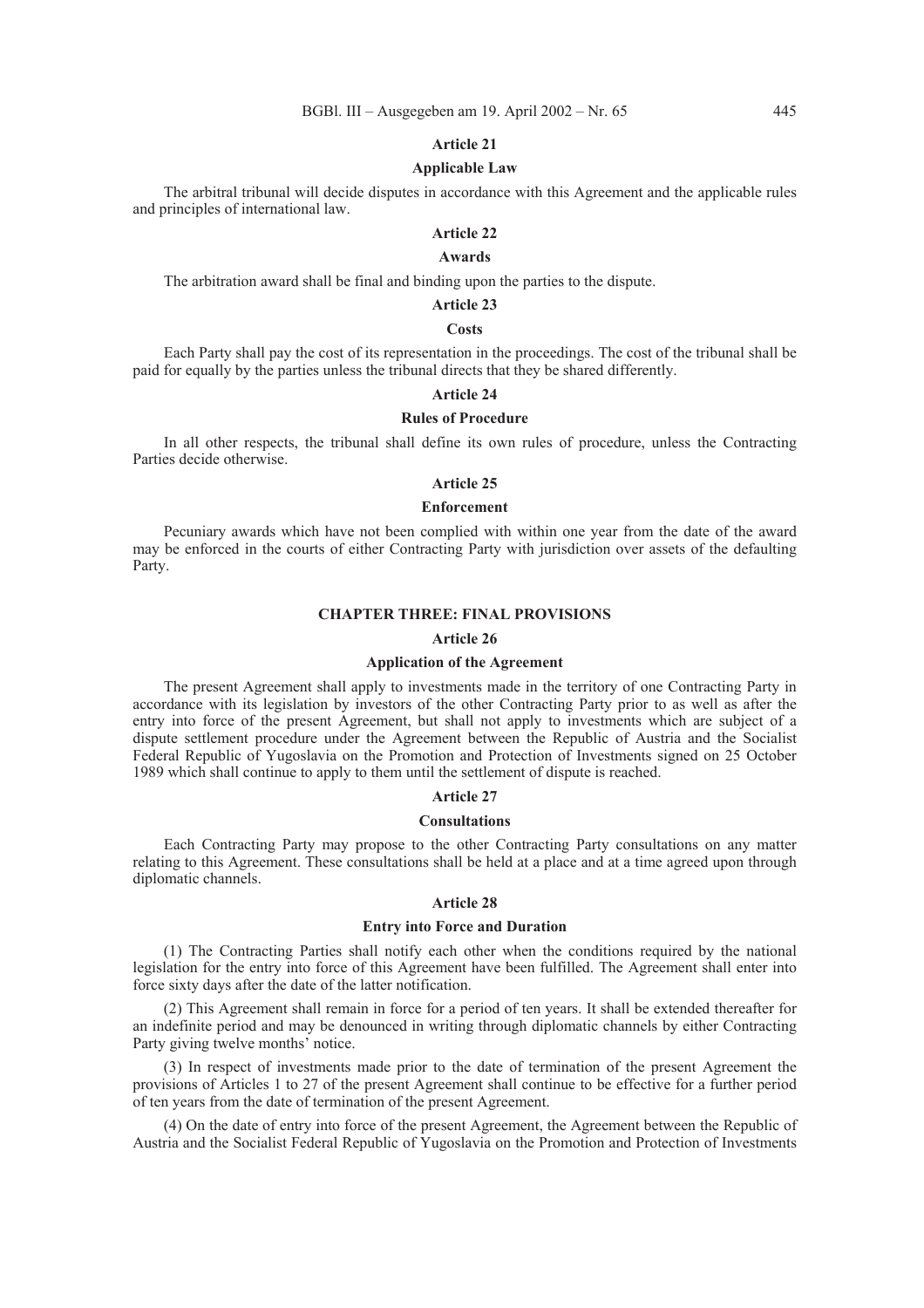#### **Applicable Law**

The arbitral tribunal will decide disputes in accordance with this Agreement and the applicable rules and principles of international law.

# **Article 22**

# **Awards**

The arbitration award shall be final and binding upon the parties to the dispute.

# **Article 23**

# **Costs**

Each Party shall pay the cost of its representation in the proceedings. The cost of the tribunal shall be paid for equally by the parties unless the tribunal directs that they be shared differently.

# **Article 24**

# **Rules of Procedure**

In all other respects, the tribunal shall define its own rules of procedure, unless the Contracting Parties decide otherwise.

# **Article 25**

# **Enforcement**

Pecuniary awards which have not been complied with within one year from the date of the award may be enforced in the courts of either Contracting Party with jurisdiction over assets of the defaulting Party.

#### **CHAPTER THREE: FINAL PROVISIONS**

# **Article 26**

### **Application of the Agreement**

The present Agreement shall apply to investments made in the territory of one Contracting Party in accordance with its legislation by investors of the other Contracting Party prior to as well as after the entry into force of the present Agreement, but shall not apply to investments which are subject of a dispute settlement procedure under the Agreement between the Republic of Austria and the Socialist Federal Republic of Yugoslavia on the Promotion and Protection of Investments signed on 25 October 1989 which shall continue to apply to them until the settlement of dispute is reached.

### **Article 27**

#### **Consultations**

Each Contracting Party may propose to the other Contracting Party consultations on any matter relating to this Agreement. These consultations shall be held at a place and at a time agreed upon through diplomatic channels.

#### **Article 28**

# **Entry into Force and Duration**

(1) The Contracting Parties shall notify each other when the conditions required by the national legislation for the entry into force of this Agreement have been fulfilled. The Agreement shall enter into force sixty days after the date of the latter notification.

(2) This Agreement shall remain in force for a period of ten years. It shall be extended thereafter for an indefinite period and may be denounced in writing through diplomatic channels by either Contracting Party giving twelve months' notice.

(3) In respect of investments made prior to the date of termination of the present Agreement the provisions of Articles 1 to 27 of the present Agreement shall continue to be effective for a further period of ten years from the date of termination of the present Agreement.

(4) On the date of entry into force of the present Agreement, the Agreement between the Republic of Austria and the Socialist Federal Republic of Yugoslavia on the Promotion and Protection of Investments